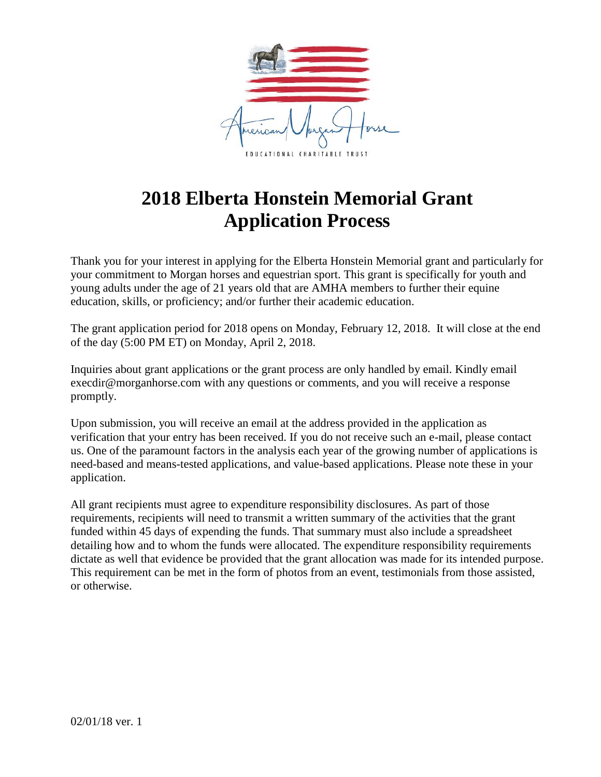

### **2018 Elberta Honstein Memorial Grant Application Process**

Thank you for your interest in applying for the Elberta Honstein Memorial grant and particularly for your commitment to Morgan horses and equestrian sport. This grant is specifically for youth and young adults under the age of 21 years old that are AMHA members to further their equine education, skills, or proficiency; and/or further their academic education.

The grant application period for 2018 opens on Monday, February 12, 2018. It will close at the end of the day (5:00 PM ET) on Monday, April 2, 2018.

Inquiries about grant applications or the grant process are only handled by email. Kindly email execdir@morganhorse.com with any questions or comments, and you will receive a response promptly.

Upon submission, you will receive an email at the address provided in the application as verification that your entry has been received. If you do not receive such an e-mail, please contact us. One of the paramount factors in the analysis each year of the growing number of applications is need-based and means-tested applications, and value-based applications. Please note these in your application.

All grant recipients must agree to expenditure responsibility disclosures. As part of those requirements, recipients will need to transmit a written summary of the activities that the grant funded within 45 days of expending the funds. That summary must also include a spreadsheet detailing how and to whom the funds were allocated. The expenditure responsibility requirements dictate as well that evidence be provided that the grant allocation was made for its intended purpose. This requirement can be met in the form of photos from an event, testimonials from those assisted, or otherwise.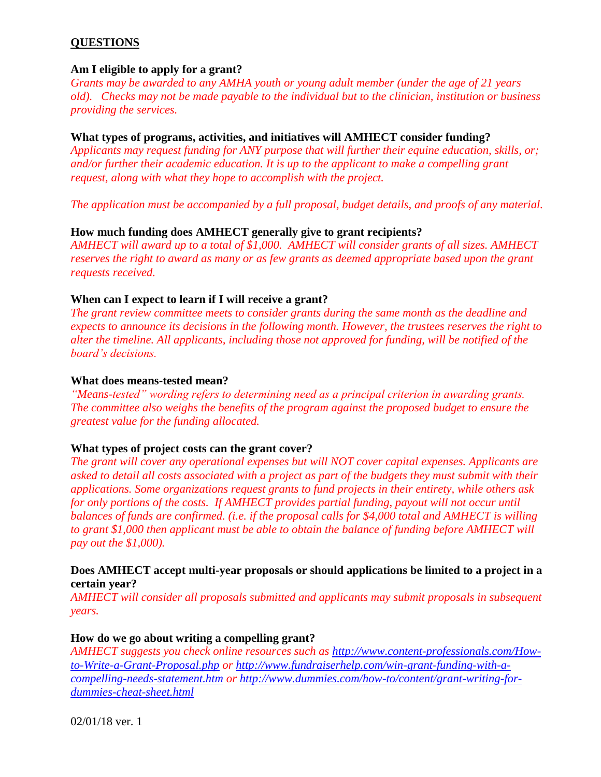#### **QUESTIONS**

#### **Am I eligible to apply for a grant?**

*Grants may be awarded to any AMHA youth or young adult member (under the age of 21 years old). Checks may not be made payable to the individual but to the clinician, institution or business providing the services.*

#### **What types of programs, activities, and initiatives will AMHECT consider funding?**

*Applicants may request funding for ANY purpose that will further their equine education, skills, or; and/or further their academic education. It is up to the applicant to make a compelling grant request, along with what they hope to accomplish with the project.*

*The application must be accompanied by a full proposal, budget details, and proofs of any material.* 

#### **How much funding does AMHECT generally give to grant recipients?**

*AMHECT will award up to a total of \$1,000. AMHECT will consider grants of all sizes. AMHECT reserves the right to award as many or as few grants as deemed appropriate based upon the grant requests received.* 

#### **When can I expect to learn if I will receive a grant?**

*The grant review committee meets to consider grants during the same month as the deadline and expects to announce its decisions in the following month. However, the trustees reserves the right to alter the timeline. All applicants, including those not approved for funding, will be notified of the board's decisions.*

#### **What does means-tested mean?**

*"Means-tested" wording refers to determining need as a principal criterion in awarding grants. The committee also weighs the benefits of the program against the proposed budget to ensure the greatest value for the funding allocated.* 

#### **What types of project costs can the grant cover?**

*The grant will cover any operational expenses but will NOT cover capital expenses. Applicants are asked to detail all costs associated with a project as part of the budgets they must submit with their applications. Some organizations request grants to fund projects in their entirety, while others ask for only portions of the costs. If AMHECT provides partial funding, payout will not occur until balances of funds are confirmed. (i.e. if the proposal calls for \$4,000 total and AMHECT is willing to grant \$1,000 then applicant must be able to obtain the balance of funding before AMHECT will pay out the \$1,000).*

#### **Does AMHECT accept multi-year proposals or should applications be limited to a project in a certain year?**

*AMHECT will consider all proposals submitted and applicants may submit proposals in subsequent years.* 

#### **How do we go about writing a compelling grant?**

*AMHECT suggests you check online resources such as [http://www.content-professionals.com/How](http://www.content-professionals.com/How-to-Write-a-Grant-Proposal.php)[to-Write-a-Grant-Proposal.php](http://www.content-professionals.com/How-to-Write-a-Grant-Proposal.php) or [http://www.fundraiserhelp.com/win-grant-funding-with-a](http://www.fundraiserhelp.com/win-grant-funding-with-a-compelling-needs-statement.htm)[compelling-needs-statement.htm](http://www.fundraiserhelp.com/win-grant-funding-with-a-compelling-needs-statement.htm) or [http://www.dummies.com/how-to/content/grant-writing-for](http://www.dummies.com/how-to/content/grant-writing-for-dummies-cheat-sheet.html)[dummies-cheat-sheet.html](http://www.dummies.com/how-to/content/grant-writing-for-dummies-cheat-sheet.html)*

02/01/18 ver. 1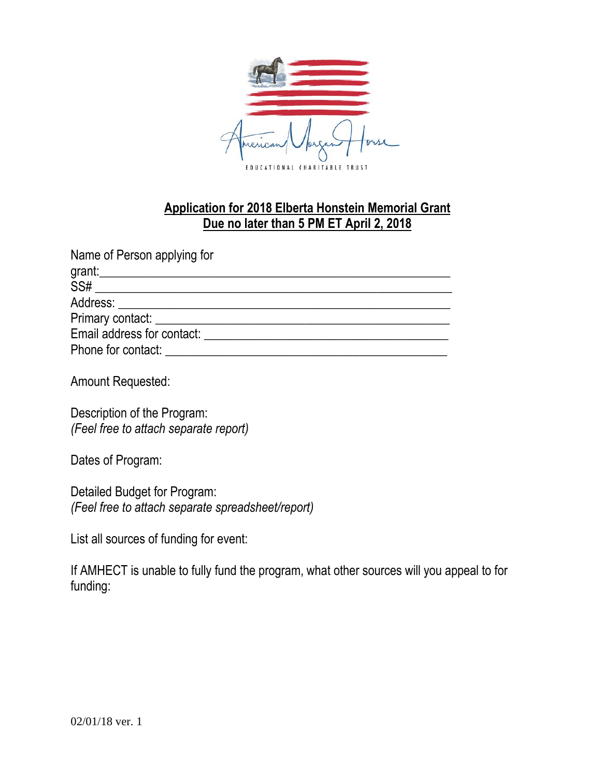

### **Application for 2018 Elberta Honstein Memorial Grant Due no later than 5 PM ET April 2, 2018**

| Name of Person applying for              |  |
|------------------------------------------|--|
|                                          |  |
| SS#                                      |  |
|                                          |  |
| Primary contact: <u>New York Contact</u> |  |
| Email address for contact:               |  |
| Phone for contact:                       |  |

Amount Requested:

Description of the Program: *(Feel free to attach separate report)*

Dates of Program:

Detailed Budget for Program: *(Feel free to attach separate spreadsheet/report)*

List all sources of funding for event:

If AMHECT is unable to fully fund the program, what other sources will you appeal to for funding: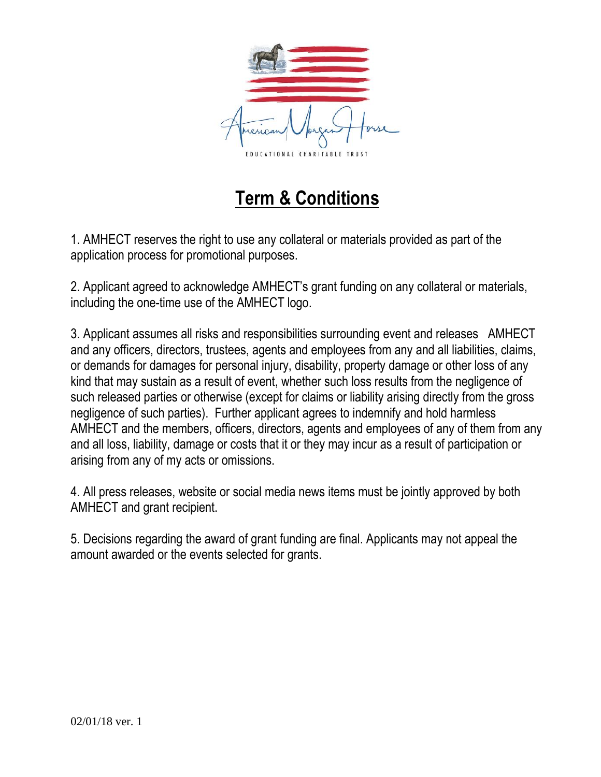

## **Term & Conditions**

1. AMHECT reserves the right to use any collateral or materials provided as part of the application process for promotional purposes.

2. Applicant agreed to acknowledge AMHECT's grant funding on any collateral or materials, including the one-time use of the AMHECT logo.

3. Applicant assumes all risks and responsibilities surrounding event and releases AMHECT and any officers, directors, trustees, agents and employees from any and all liabilities, claims, or demands for damages for personal injury, disability, property damage or other loss of any kind that may sustain as a result of event, whether such loss results from the negligence of such released parties or otherwise (except for claims or liability arising directly from the gross negligence of such parties). Further applicant agrees to indemnify and hold harmless AMHECT and the members, officers, directors, agents and employees of any of them from any and all loss, liability, damage or costs that it or they may incur as a result of participation or arising from any of my acts or omissions.

4. All press releases, website or social media news items must be jointly approved by both AMHECT and grant recipient.

5. Decisions regarding the award of grant funding are final. Applicants may not appeal the amount awarded or the events selected for grants.